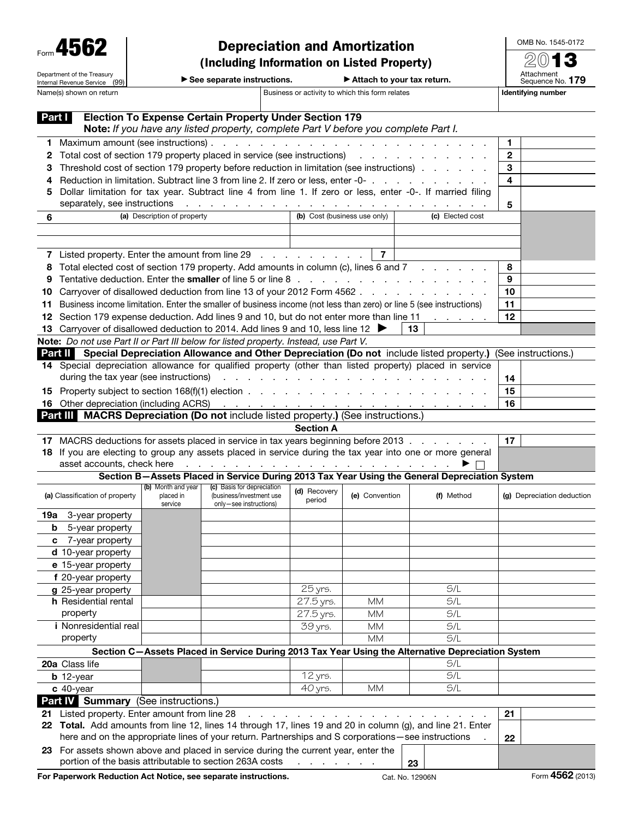Department of the Treasury Internal Revenue Service (99)

## Depreciation and Amortization (Including Information on Listed Property)

OMB No. 1545-0172 2013

|  | aa canarata incluuctione |  |
|--|--------------------------|--|

▶ See separate instructions. ▶ Attach to your tax return.

Attachment<br>Sequence No. **179** Name(s) shown on return **Business or activity to which this form relates** Identifying number

| Part I                                                                                            |                                                                                                                                                          |                                                                                                                                                                                                                                | <b>Election To Expense Certain Property Under Section 179</b><br>Note: If you have any listed property, complete Part V before you complete Part I.                                                                            |                              |                |                                                                                                                                                                                                                                |                            |  |  |  |  |
|---------------------------------------------------------------------------------------------------|----------------------------------------------------------------------------------------------------------------------------------------------------------|--------------------------------------------------------------------------------------------------------------------------------------------------------------------------------------------------------------------------------|--------------------------------------------------------------------------------------------------------------------------------------------------------------------------------------------------------------------------------|------------------------------|----------------|--------------------------------------------------------------------------------------------------------------------------------------------------------------------------------------------------------------------------------|----------------------------|--|--|--|--|
| 1.                                                                                                |                                                                                                                                                          |                                                                                                                                                                                                                                |                                                                                                                                                                                                                                |                              |                |                                                                                                                                                                                                                                | 1                          |  |  |  |  |
| 2                                                                                                 | Total cost of section 179 property placed in service (see instructions) results and section of section 179 property placed in service (see instructions) |                                                                                                                                                                                                                                | $\mathbf{2}$                                                                                                                                                                                                                   |                              |                |                                                                                                                                                                                                                                |                            |  |  |  |  |
| З                                                                                                 | Threshold cost of section 179 property before reduction in limitation (see instructions)                                                                 |                                                                                                                                                                                                                                | 3                                                                                                                                                                                                                              |                              |                |                                                                                                                                                                                                                                |                            |  |  |  |  |
| 4                                                                                                 |                                                                                                                                                          |                                                                                                                                                                                                                                |                                                                                                                                                                                                                                |                              |                | Reduction in limitation. Subtract line 3 from line 2. If zero or less, enter -0-                                                                                                                                               | 4                          |  |  |  |  |
| 5                                                                                                 |                                                                                                                                                          |                                                                                                                                                                                                                                |                                                                                                                                                                                                                                |                              |                | Dollar limitation for tax year. Subtract line 4 from line 1. If zero or less, enter -0-. If married filing                                                                                                                     |                            |  |  |  |  |
|                                                                                                   | separately, see instructions                                                                                                                             | the contract of the contract of the contract of the contract of the contract of the contract of the contract of the contract of the contract of the contract of the contract of the contract of the contract of the contract o | 5                                                                                                                                                                                                                              |                              |                |                                                                                                                                                                                                                                |                            |  |  |  |  |
| 6                                                                                                 |                                                                                                                                                          | (a) Description of property                                                                                                                                                                                                    |                                                                                                                                                                                                                                |                              |                |                                                                                                                                                                                                                                |                            |  |  |  |  |
|                                                                                                   |                                                                                                                                                          |                                                                                                                                                                                                                                |                                                                                                                                                                                                                                |                              |                |                                                                                                                                                                                                                                |                            |  |  |  |  |
|                                                                                                   |                                                                                                                                                          |                                                                                                                                                                                                                                |                                                                                                                                                                                                                                |                              |                |                                                                                                                                                                                                                                |                            |  |  |  |  |
|                                                                                                   |                                                                                                                                                          |                                                                                                                                                                                                                                | 7 Listed property. Enter the amount from line 29                                                                                                                                                                               |                              | $\overline{7}$ |                                                                                                                                                                                                                                |                            |  |  |  |  |
| 8                                                                                                 |                                                                                                                                                          |                                                                                                                                                                                                                                | Total elected cost of section 179 property. Add amounts in column (c), lines 6 and 7                                                                                                                                           |                              |                |                                                                                                                                                                                                                                | 8                          |  |  |  |  |
| 9                                                                                                 |                                                                                                                                                          |                                                                                                                                                                                                                                |                                                                                                                                                                                                                                |                              |                |                                                                                                                                                                                                                                | 9                          |  |  |  |  |
| 10                                                                                                |                                                                                                                                                          |                                                                                                                                                                                                                                |                                                                                                                                                                                                                                |                              |                | Carryover of disallowed deduction from line 13 of your 2012 Form 4562                                                                                                                                                          | 10                         |  |  |  |  |
| 11                                                                                                |                                                                                                                                                          |                                                                                                                                                                                                                                |                                                                                                                                                                                                                                |                              |                | Business income limitation. Enter the smaller of business income (not less than zero) or line 5 (see instructions)                                                                                                             | 11                         |  |  |  |  |
|                                                                                                   |                                                                                                                                                          |                                                                                                                                                                                                                                | 12 Section 179 expense deduction. Add lines 9 and 10, but do not enter more than line 11                                                                                                                                       |                              |                | and the company of the                                                                                                                                                                                                         | 12                         |  |  |  |  |
|                                                                                                   |                                                                                                                                                          |                                                                                                                                                                                                                                | 13 Carryover of disallowed deduction to 2014. Add lines 9 and 10, less line 12                                                                                                                                                 |                              |                | 13.                                                                                                                                                                                                                            |                            |  |  |  |  |
|                                                                                                   |                                                                                                                                                          |                                                                                                                                                                                                                                | Note: Do not use Part II or Part III below for listed property. Instead, use Part V.                                                                                                                                           |                              |                |                                                                                                                                                                                                                                |                            |  |  |  |  |
|                                                                                                   |                                                                                                                                                          |                                                                                                                                                                                                                                |                                                                                                                                                                                                                                |                              |                | Part II Special Depreciation Allowance and Other Depreciation (Do not include listed property.) (See instructions.)<br>14 Special depreciation allowance for qualified property (other than listed property) placed in service |                            |  |  |  |  |
|                                                                                                   | during the tax year (see instructions)                                                                                                                   |                                                                                                                                                                                                                                | the contract of the contract of the contract of the contract of the contract of the contract of the contract of                                                                                                                |                              |                |                                                                                                                                                                                                                                |                            |  |  |  |  |
|                                                                                                   |                                                                                                                                                          |                                                                                                                                                                                                                                |                                                                                                                                                                                                                                |                              |                |                                                                                                                                                                                                                                | 14<br>15                   |  |  |  |  |
|                                                                                                   |                                                                                                                                                          | <b>15</b> Property subject to section $168(f)(1)$ election $\ldots$ $\ldots$ $\ldots$ $\ldots$ $\ldots$ $\ldots$ $\ldots$ $\ldots$                                                                                             | 16                                                                                                                                                                                                                             |                              |                |                                                                                                                                                                                                                                |                            |  |  |  |  |
|                                                                                                   |                                                                                                                                                          |                                                                                                                                                                                                                                | Part III MACRS Depreciation (Do not include listed property.) (See instructions.)                                                                                                                                              |                              |                |                                                                                                                                                                                                                                |                            |  |  |  |  |
|                                                                                                   |                                                                                                                                                          |                                                                                                                                                                                                                                |                                                                                                                                                                                                                                | <b>Section A</b>             |                |                                                                                                                                                                                                                                |                            |  |  |  |  |
|                                                                                                   |                                                                                                                                                          |                                                                                                                                                                                                                                |                                                                                                                                                                                                                                |                              |                | 17 MACRS deductions for assets placed in service in tax years beginning before 2013                                                                                                                                            | 17                         |  |  |  |  |
|                                                                                                   |                                                                                                                                                          |                                                                                                                                                                                                                                |                                                                                                                                                                                                                                |                              |                | 18 If you are electing to group any assets placed in service during the tax year into one or more general                                                                                                                      |                            |  |  |  |  |
|                                                                                                   |                                                                                                                                                          |                                                                                                                                                                                                                                | asset accounts, check here response to the contract of the contract of the contract of the contract of the contract of the contract of the contract of the contract of the contract of the contract of the contract of the con |                              |                | ▶ □                                                                                                                                                                                                                            |                            |  |  |  |  |
|                                                                                                   |                                                                                                                                                          |                                                                                                                                                                                                                                |                                                                                                                                                                                                                                |                              |                | Section B-Assets Placed in Service During 2013 Tax Year Using the General Depreciation System                                                                                                                                  |                            |  |  |  |  |
|                                                                                                   | (a) Classification of property                                                                                                                           | (b) Month and year<br>placed in                                                                                                                                                                                                | (c) Basis for depreciation<br>(business/investment use                                                                                                                                                                         | (d) Recovery<br>period       | (e) Convention | (f) Method                                                                                                                                                                                                                     | (g) Depreciation deduction |  |  |  |  |
|                                                                                                   | 19a 3-year property                                                                                                                                      | service                                                                                                                                                                                                                        | only-see instructions)                                                                                                                                                                                                         |                              |                |                                                                                                                                                                                                                                |                            |  |  |  |  |
| b                                                                                                 | 5-year property                                                                                                                                          |                                                                                                                                                                                                                                |                                                                                                                                                                                                                                |                              |                |                                                                                                                                                                                                                                |                            |  |  |  |  |
|                                                                                                   | c 7-year property                                                                                                                                        |                                                                                                                                                                                                                                |                                                                                                                                                                                                                                |                              |                |                                                                                                                                                                                                                                |                            |  |  |  |  |
|                                                                                                   | d 10-year property                                                                                                                                       |                                                                                                                                                                                                                                |                                                                                                                                                                                                                                |                              |                |                                                                                                                                                                                                                                |                            |  |  |  |  |
|                                                                                                   | e 15-year property                                                                                                                                       |                                                                                                                                                                                                                                |                                                                                                                                                                                                                                |                              |                |                                                                                                                                                                                                                                |                            |  |  |  |  |
|                                                                                                   | f 20-year property                                                                                                                                       |                                                                                                                                                                                                                                |                                                                                                                                                                                                                                |                              |                |                                                                                                                                                                                                                                |                            |  |  |  |  |
|                                                                                                   | g 25-year property                                                                                                                                       |                                                                                                                                                                                                                                |                                                                                                                                                                                                                                | 25 yrs.                      |                | S/L                                                                                                                                                                                                                            |                            |  |  |  |  |
|                                                                                                   | h Residential rental                                                                                                                                     |                                                                                                                                                                                                                                |                                                                                                                                                                                                                                | 27.5 yrs.                    | <b>MM</b>      | S/L                                                                                                                                                                                                                            |                            |  |  |  |  |
|                                                                                                   | property                                                                                                                                                 |                                                                                                                                                                                                                                |                                                                                                                                                                                                                                | 27.5 yrs.                    | МM             | S/L                                                                                                                                                                                                                            |                            |  |  |  |  |
|                                                                                                   | <i>i</i> Nonresidential real                                                                                                                             |                                                                                                                                                                                                                                |                                                                                                                                                                                                                                | 39 yrs.                      | МM             | S/L                                                                                                                                                                                                                            |                            |  |  |  |  |
|                                                                                                   | property                                                                                                                                                 |                                                                                                                                                                                                                                |                                                                                                                                                                                                                                |                              | MМ             | S/L                                                                                                                                                                                                                            |                            |  |  |  |  |
| Section C-Assets Placed in Service During 2013 Tax Year Using the Alternative Depreciation System |                                                                                                                                                          |                                                                                                                                                                                                                                |                                                                                                                                                                                                                                |                              |                |                                                                                                                                                                                                                                |                            |  |  |  |  |
|                                                                                                   | 20a Class life                                                                                                                                           |                                                                                                                                                                                                                                |                                                                                                                                                                                                                                |                              |                | S/L                                                                                                                                                                                                                            |                            |  |  |  |  |
|                                                                                                   | $b$ 12-year                                                                                                                                              |                                                                                                                                                                                                                                |                                                                                                                                                                                                                                | 12 yrs.                      |                | S/L                                                                                                                                                                                                                            |                            |  |  |  |  |
|                                                                                                   | $c$ 40-year                                                                                                                                              |                                                                                                                                                                                                                                |                                                                                                                                                                                                                                | 40 yrs.                      | <b>MM</b>      | S/L                                                                                                                                                                                                                            |                            |  |  |  |  |
|                                                                                                   | Part IV Summary (See instructions.)                                                                                                                      |                                                                                                                                                                                                                                |                                                                                                                                                                                                                                |                              |                |                                                                                                                                                                                                                                |                            |  |  |  |  |
|                                                                                                   | 21 Listed property. Enter amount from line 28                                                                                                            |                                                                                                                                                                                                                                |                                                                                                                                                                                                                                |                              |                |                                                                                                                                                                                                                                | 21                         |  |  |  |  |
|                                                                                                   | 22 Total. Add amounts from line 12, lines 14 through 17, lines 19 and 20 in column (g), and line 21. Enter                                               |                                                                                                                                                                                                                                |                                                                                                                                                                                                                                |                              |                |                                                                                                                                                                                                                                |                            |  |  |  |  |
|                                                                                                   |                                                                                                                                                          |                                                                                                                                                                                                                                | here and on the appropriate lines of your return. Partnerships and S corporations-see instructions                                                                                                                             |                              |                |                                                                                                                                                                                                                                | 22                         |  |  |  |  |
|                                                                                                   | portion of the basis attributable to section 263A costs                                                                                                  |                                                                                                                                                                                                                                | 23 For assets shown above and placed in service during the current year, enter the                                                                                                                                             | the contract of the contract |                | 23                                                                                                                                                                                                                             |                            |  |  |  |  |